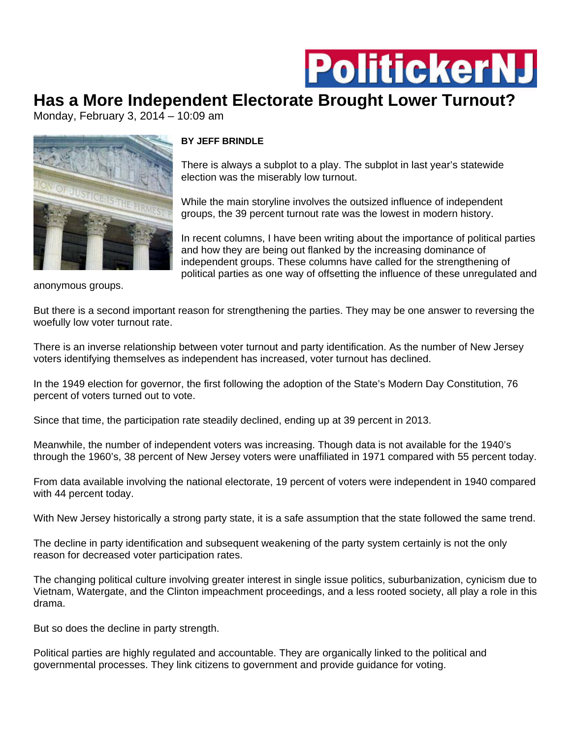

## **Has a More Independent Electorate Brought Lower Turnout?**

Monday, February 3, 2014 – 10:09 am



## **BY JEFF BRINDLE**

There is always a subplot to a play. The subplot in last year's statewide election was the miserably low turnout.

While the main storyline involves the outsized influence of independent groups, the 39 percent turnout rate was the lowest in modern history.

In recent columns, I have been writing about the importance of political parties and how they are being out flanked by the increasing dominance of independent groups. These columns have called for the strengthening of political parties as one way of offsetting the influence of these unregulated and

anonymous groups.

But there is a second important reason for strengthening the parties. They may be one answer to reversing the woefully low voter turnout rate.

There is an inverse relationship between voter turnout and party identification. As the number of New Jersey voters identifying themselves as independent has increased, voter turnout has declined.

In the 1949 election for governor, the first following the adoption of the State's Modern Day Constitution, 76 percent of voters turned out to vote.

Since that time, the participation rate steadily declined, ending up at 39 percent in 2013.

Meanwhile, the number of independent voters was increasing. Though data is not available for the 1940's through the 1960's, 38 percent of New Jersey voters were unaffiliated in 1971 compared with 55 percent today.

From data available involving the national electorate, 19 percent of voters were independent in 1940 compared with 44 percent today.

With New Jersey historically a strong party state, it is a safe assumption that the state followed the same trend.

The decline in party identification and subsequent weakening of the party system certainly is not the only reason for decreased voter participation rates.

The changing political culture involving greater interest in single issue politics, suburbanization, cynicism due to Vietnam, Watergate, and the Clinton impeachment proceedings, and a less rooted society, all play a role in this drama.

But so does the decline in party strength.

Political parties are highly regulated and accountable. They are organically linked to the political and governmental processes. They link citizens to government and provide guidance for voting.